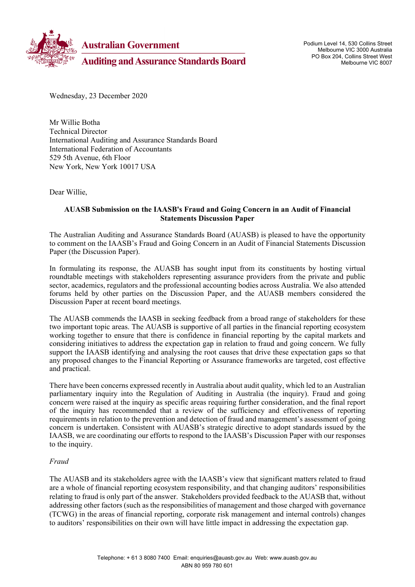

Podium Level 14, 530 Collins Street Melbourne VIC 3000 Australia PO Box 204, Collins Street West Melbourne VIC 8007

Wednesday, 23 December 2020

Mr Willie Botha Technical Director International Auditing and Assurance Standards Board International Federation of Accountants 529 5th Avenue, 6th Floor New York, New York 10017 USA

Dear Willie,

#### **AUASB Submission on the IAASB's Fraud and Going Concern in an Audit of Financial Statements Discussion Paper**

The Australian Auditing and Assurance Standards Board (AUASB) is pleased to have the opportunity to comment on the IAASB's Fraud and Going Concern in an Audit of Financial Statements Discussion Paper (the Discussion Paper).

In formulating its response, the AUASB has sought input from its constituents by hosting virtual roundtable meetings with stakeholders representing assurance providers from the private and public sector, academics, regulators and the professional accounting bodies across Australia. We also attended forums held by other parties on the Discussion Paper, and the AUASB members considered the Discussion Paper at recent board meetings.

The AUASB commends the IAASB in seeking feedback from a broad range of stakeholders for these two important topic areas. The AUASB is supportive of all parties in the financial reporting ecosystem working together to ensure that there is confidence in financial reporting by the capital markets and considering initiatives to address the expectation gap in relation to fraud and going concern. We fully support the IAASB identifying and analysing the root causes that drive these expectation gaps so that any proposed changes to the Financial Reporting or Assurance frameworks are targeted, cost effective and practical.

There have been concerns expressed recently in Australia about audit quality, which led to an Australian parliamentary inquiry into the Regulation of Auditing in Australia (the inquiry). Fraud and going concern were raised at the inquiry as specific areas requiring further consideration, and the final report of the inquiry has recommended that a review of the sufficiency and effectiveness of reporting requirements in relation to the prevention and detection of fraud and management's assessment of going concern is undertaken. Consistent with AUASB's strategic directive to adopt standards issued by the IAASB, we are coordinating our efforts to respond to the IAASB's Discussion Paper with our responses to the inquiry.

#### *Fraud*

The AUASB and its stakeholders agree with the IAASB's view that significant matters related to fraud are a whole of financial reporting ecosystem responsibility, and that changing auditors' responsibilities relating to fraud is only part of the answer. Stakeholders provided feedback to the AUASB that, without addressing other factors (such as the responsibilities of management and those charged with governance (TCWG) in the areas of financial reporting, corporate risk management and internal controls) changes to auditors' responsibilities on their own will have little impact in addressing the expectation gap.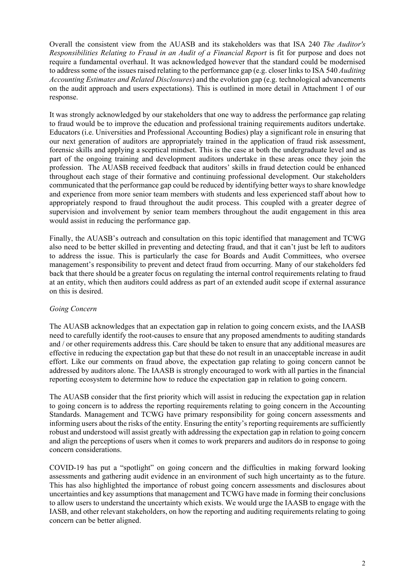Overall the consistent view from the AUASB and its stakeholders was that ISA 240 *The Auditor's Responsibilities Relating to Fraud in an Audit of a Financial Report* is fit for purpose and does not require a fundamental overhaul. It was acknowledged however that the standard could be modernised to address some of the issues raised relating to the performance gap (e.g. closer links to ISA 540 *Auditing Accounting Estimates and Related Disclosures*) and the evolution gap (e.g. technological advancements on the audit approach and users expectations). This is outlined in more detail in Attachment 1 of our response.

It was strongly acknowledged by our stakeholders that one way to address the performance gap relating to fraud would be to improve the education and professional training requirements auditors undertake. Educators (i.e. Universities and Professional Accounting Bodies) play a significant role in ensuring that our next generation of auditors are appropriately trained in the application of fraud risk assessment, forensic skills and applying a sceptical mindset. This is the case at both the undergraduate level and as part of the ongoing training and development auditors undertake in these areas once they join the profession. The AUASB received feedback that auditors' skills in fraud detection could be enhanced throughout each stage of their formative and continuing professional development. Our stakeholders communicated that the performance gap could be reduced by identifying better ways to share knowledge and experience from more senior team members with students and less experienced staff about how to appropriately respond to fraud throughout the audit process. This coupled with a greater degree of supervision and involvement by senior team members throughout the audit engagement in this area would assist in reducing the performance gap.

Finally, the AUASB's outreach and consultation on this topic identified that management and TCWG also need to be better skilled in preventing and detecting fraud, and that it can't just be left to auditors to address the issue. This is particularly the case for Boards and Audit Committees, who oversee management's responsibility to prevent and detect fraud from occurring. Many of our stakeholders fed back that there should be a greater focus on regulating the internal control requirements relating to fraud at an entity, which then auditors could address as part of an extended audit scope if external assurance on this is desired.

#### *Going Concern*

The AUASB acknowledges that an expectation gap in relation to going concern exists, and the IAASB need to carefully identify the root-causes to ensure that any proposed amendments to auditing standards and / or other requirements address this. Care should be taken to ensure that any additional measures are effective in reducing the expectation gap but that these do not result in an unacceptable increase in audit effort. Like our comments on fraud above, the expectation gap relating to going concern cannot be addressed by auditors alone. The IAASB is strongly encouraged to work with all parties in the financial reporting ecosystem to determine how to reduce the expectation gap in relation to going concern.

The AUASB consider that the first priority which will assist in reducing the expectation gap in relation to going concern is to address the reporting requirements relating to going concern in the Accounting Standards. Management and TCWG have primary responsibility for going concern assessments and informing users about the risks of the entity. Ensuring the entity's reporting requirements are sufficiently robust and understood will assist greatly with addressing the expectation gap in relation to going concern and align the perceptions of users when it comes to work preparers and auditors do in response to going concern considerations.

COVID-19 has put a "spotlight" on going concern and the difficulties in making forward looking assessments and gathering audit evidence in an environment of such high uncertainty as to the future. This has also highlighted the importance of robust going concern assessments and disclosures about uncertainties and key assumptions that management and TCWG have made in forming their conclusions to allow users to understand the uncertainty which exists. We would urge the IAASB to engage with the IASB, and other relevant stakeholders, on how the reporting and auditing requirements relating to going concern can be better aligned.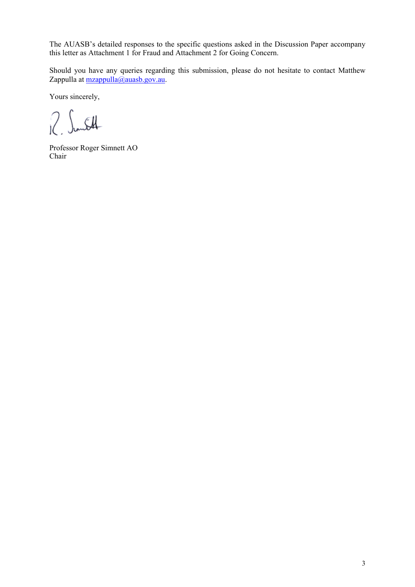The AUASB's detailed responses to the specific questions asked in the Discussion Paper accompany this letter as Attachment 1 for Fraud and Attachment 2 for Going Concern.

Should you have any queries regarding this submission, please do not hesitate to contact Matthew Zappulla at [mzappulla@auasb.gov.au.](mailto:mzappulla@auasb.gov.au)

Yours sincerely,

 $2 \int$ mst

Professor Roger Simnett AO Chair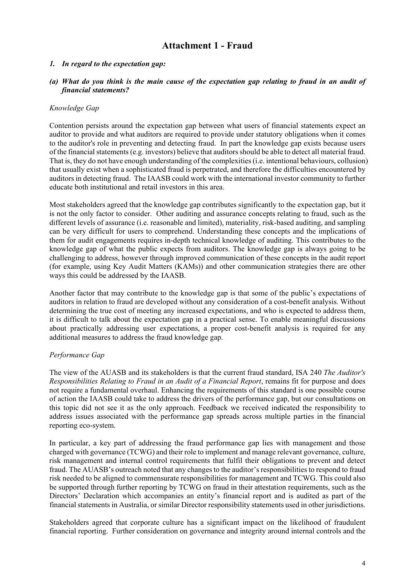# **Attachment 1 - Fraud**

## *1. In regard to the expectation gap:*

#### *(a) What do you think is the main cause of the expectation gap relating to fraud in an audit of financial statements?*

## *Knowledge Gap*

Contention persists around the expectation gap between what users of financial statements expect an auditor to provide and what auditors are required to provide under statutory obligations when it comes to the auditor's role in preventing and detecting fraud. In part the knowledge gap exists because users of the financial statements (e.g. investors) believe that auditors should be able to detect all material fraud. That is, they do not have enough understanding of the complexities(i.e. intentional behaviours, collusion) that usually exist when a sophisticated fraud is perpetrated, and therefore the difficulties encountered by auditors in detecting fraud. The IAASB could work with the international investor community to further educate both institutional and retail investors in this area.

Most stakeholders agreed that the knowledge gap contributes significantly to the expectation gap, but it is not the only factor to consider. Other auditing and assurance concepts relating to fraud, such as the different levels of assurance (i.e. reasonable and limited), materiality, risk-based auditing, and sampling can be very difficult for users to comprehend. Understanding these concepts and the implications of them for audit engagements requires in-depth technical knowledge of auditing. This contributes to the knowledge gap of what the public expects from auditors. The knowledge gap is always going to be challenging to address, however through improved communication of these concepts in the audit report (for example, using Key Audit Matters (KAMs)) and other communication strategies there are other ways this could be addressed by the IAASB.

Another factor that may contribute to the knowledge gap is that some of the public's expectations of auditors in relation to fraud are developed without any consideration of a cost-benefit analysis. Without determining the true cost of meeting any increased expectations, and who is expected to address them, it is difficult to talk about the expectation gap in a practical sense. To enable meaningful discussions about practically addressing user expectations, a proper cost-benefit analysis is required for any additional measures to address the fraud knowledge gap.

#### *Performance Gap*

The view of the AUASB and its stakeholders is that the current fraud standard, ISA 240 *The Auditor's Responsibilities Relating to Fraud in an Audit of a Financial Report*, remains fit for purpose and does not require a fundamental overhaul. Enhancing the requirements of this standard is one possible course of action the IAASB could take to address the drivers of the performance gap, but our consultations on this topic did not see it as the only approach. Feedback we received indicated the responsibility to address issues associated with the performance gap spreads across multiple parties in the financial reporting eco-system.

In particular, a key part of addressing the fraud performance gap lies with management and those charged with governance (TCWG) and their role to implement and manage relevant governance, culture, risk management and internal control requirements that fulfil their obligations to prevent and detect fraud. The AUASB's outreach noted that any changes to the auditor's responsibilities to respond to fraud risk needed to be aligned to commensurate responsibilities for management and TCWG. This could also be supported through further reporting by TCWG on fraud in their attestation requirements, such as the Directors' Declaration which accompanies an entity's financial report and is audited as part of the financial statements in Australia, or similar Director responsibility statements used in other jurisdictions.

Stakeholders agreed that corporate culture has a significant impact on the likelihood of fraudulent financial reporting. Further consideration on governance and integrity around internal controls and the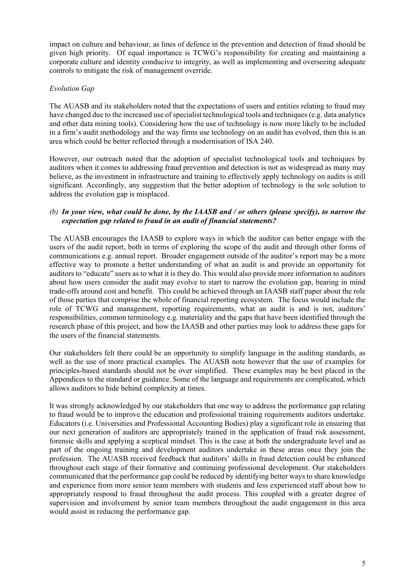impact on culture and behaviour, as lines of defence in the prevention and detection of fraud should be given high priority. Of equal importance is TCWG's responsibility for creating and maintaining a corporate culture and identity conducive to integrity, as well as implementing and overseeing adequate controls to mitigate the risk of management override.

# *Evolution Gap*

The AUASB and its stakeholders noted that the expectations of users and entities relating to fraud may have changed due to the increased use of specialist technological tools and techniques (e.g. data analytics and other data mining tools). Considering how the use of technology is now more likely to be included in a firm's audit methodology and the way firms use technology on an audit has evolved, then this is an area which could be better reflected through a modernisation of ISA 240.

However, our outreach noted that the adoption of specialist technological tools and techniques by auditors when it comes to addressing fraud prevention and detection is not as widespread as many may believe, as the investment in infrastructure and training to effectively apply technology on audits is still significant. Accordingly, any suggestion that the better adoption of technology is the sole solution to address the evolution gap is misplaced.

# *(b) In your view, what could be done, by the IAASB and / or others (please specify), to narrow the expectation gap related to fraud in an audit of financial statements?*

The AUASB encourages the IAASB to explore ways in which the auditor can better engage with the users of the audit report, both in terms of exploring the scope of the audit and through other forms of communications e.g. annual report. Broader engagement outside of the auditor's report may be a more effective way to promote a better understanding of what an audit is and provide an opportunity for auditors to "educate" users as to what it is they do. This would also provide more information to auditors about how users consider the audit may evolve to start to narrow the evolution gap, bearing in mind trade-offs around cost and benefit. This could be achieved through an IAASB staff paper about the role of those parties that comprise the whole of financial reporting ecosystem. The focus would include the role of TCWG and management, reporting requirements, what an audit is and is not, auditors' responsibilities, common terminology e.g. materiality and the gaps that have been identified through the research phase of this project, and how the IAASB and other parties may look to address these gaps for the users of the financial statements.

Our stakeholders felt there could be an opportunity to simplify language in the auditing standards, as well as the use of more practical examples. The AUASB note however that the use of examples for principles-based standards should not be over simplified. These examples may be best placed in the Appendices to the standard or guidance. Some of the language and requirements are complicated, which allows auditors to hide behind complexity at times.

It was strongly acknowledged by our stakeholders that one way to address the performance gap relating to fraud would be to improve the education and professional training requirements auditors undertake. Educators (i.e. Universities and Professional Accounting Bodies) play a significant role in ensuring that our next generation of auditors are appropriately trained in the application of fraud risk assessment, forensic skills and applying a sceptical mindset. This is the case at both the undergraduate level and as part of the ongoing training and development auditors undertake in these areas once they join the profession. The AUASB received feedback that auditors' skills in fraud detection could be enhanced throughout each stage of their formative and continuing professional development. Our stakeholders communicated that the performance gap could be reduced by identifying better ways to share knowledge and experience from more senior team members with students and less experienced staff about how to appropriately respond to fraud throughout the audit process. This coupled with a greater degree of supervision and involvement by senior team members throughout the audit engagement in this area would assist in reducing the performance gap.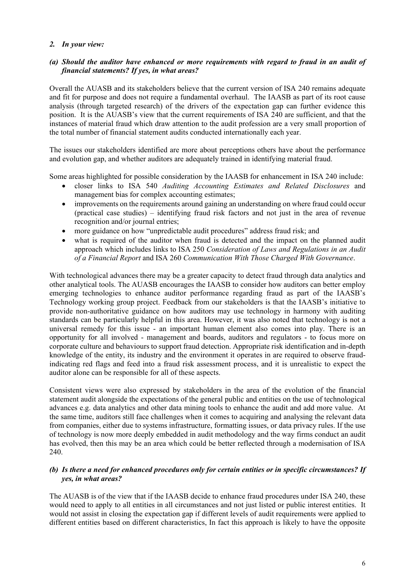# *2. In your view:*

# *(a) Should the auditor have enhanced or more requirements with regard to fraud in an audit of financial statements? If yes, in what areas?*

Overall the AUASB and its stakeholders believe that the current version of ISA 240 remains adequate and fit for purpose and does not require a fundamental overhaul. The IAASB as part of its root cause analysis (through targeted research) of the drivers of the expectation gap can further evidence this position. It is the AUASB's view that the current requirements of ISA 240 are sufficient, and that the instances of material fraud which draw attention to the audit profession are a very small proportion of the total number of financial statement audits conducted internationally each year.

The issues our stakeholders identified are more about perceptions others have about the performance and evolution gap, and whether auditors are adequately trained in identifying material fraud.

Some areas highlighted for possible consideration by the IAASB for enhancement in ISA 240 include:

- closer links to ISA 540 *Auditing Accounting Estimates and Related Disclosures* and management bias for complex accounting estimates;
- improvements on the requirements around gaining an understanding on where fraud could occur (practical case studies) – identifying fraud risk factors and not just in the area of revenue recognition and/or journal entries;
- more guidance on how "unpredictable audit procedures" address fraud risk; and
- what is required of the auditor when fraud is detected and the impact on the planned audit approach which includes links to ISA 250 *Consideration of Laws and Regulations in an Audit of a Financial Report* and ISA 260 *Communication With Those Charged With Governance*.

With technological advances there may be a greater capacity to detect fraud through data analytics and other analytical tools. The AUASB encourages the IAASB to consider how auditors can better employ emerging technologies to enhance auditor performance regarding fraud as part of the IAASB's Technology working group project. Feedback from our stakeholders is that the IAASB's initiative to provide non-authoritative guidance on how auditors may use technology in harmony with auditing standards can be particularly helpful in this area. However, it was also noted that technology is not a universal remedy for this issue - an important human element also comes into play. There is an opportunity for all involved - management and boards, auditors and regulators - to focus more on corporate culture and behaviours to support fraud detection. Appropriate risk identification and in-depth knowledge of the entity, its industry and the environment it operates in are required to observe fraudindicating red flags and feed into a fraud risk assessment process, and it is unrealistic to expect the auditor alone can be responsible for all of these aspects.

Consistent views were also expressed by stakeholders in the area of the evolution of the financial statement audit alongside the expectations of the general public and entities on the use of technological advances e.g. data analytics and other data mining tools to enhance the audit and add more value. At the same time, auditors still face challenges when it comes to acquiring and analysing the relevant data from companies, either due to systems infrastructure, formatting issues, or data privacy rules. If the use of technology is now more deeply embedded in audit methodology and the way firms conduct an audit has evolved, then this may be an area which could be better reflected through a modernisation of ISA 240.

## *(b) Is there a need for enhanced procedures only for certain entities or in specific circumstances? If yes, in what areas?*

The AUASB is of the view that if the IAASB decide to enhance fraud procedures under ISA 240, these would need to apply to all entities in all circumstances and not just listed or public interest entities. It would not assist in closing the expectation gap if different levels of audit requirements were applied to different entities based on different characteristics, In fact this approach is likely to have the opposite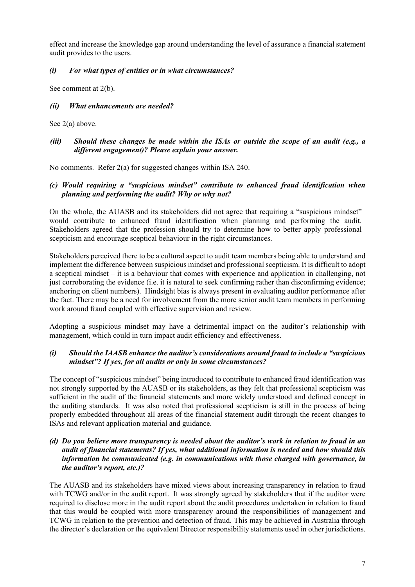effect and increase the knowledge gap around understanding the level of assurance a financial statement audit provides to the users.

# *(i) For what types of entities or in what circumstances?*

See comment at 2(b).

# *(ii) What enhancements are needed?*

See 2(a) above.

# *(iii) Should these changes be made within the ISAs or outside the scope of an audit (e.g., a different engagement)? Please explain your answer.*

No comments. Refer 2(a) for suggested changes within ISA 240.

# *(c) Would requiring a "suspicious mindset" contribute to enhanced fraud identification when planning and performing the audit? Why or why not?*

On the whole, the AUASB and its stakeholders did not agree that requiring a "suspicious mindset" would contribute to enhanced fraud identification when planning and performing the audit. Stakeholders agreed that the profession should try to determine how to better apply professional scepticism and encourage sceptical behaviour in the right circumstances.

Stakeholders perceived there to be a cultural aspect to audit team members being able to understand and implement the difference between suspicious mindset and professional scepticism. It is difficult to adopt a sceptical mindset – it is a behaviour that comes with experience and application in challenging, not just corroborating the evidence (i.e. it is natural to seek confirming rather than disconfirming evidence; anchoring on client numbers). Hindsight bias is always present in evaluating auditor performance after the fact. There may be a need for involvement from the more senior audit team members in performing work around fraud coupled with effective supervision and review.

Adopting a suspicious mindset may have a detrimental impact on the auditor's relationship with management, which could in turn impact audit efficiency and effectiveness.

# *(i) Should the IAASB enhance the auditor's considerations around fraud to include a "suspicious mindset"? If yes, for all audits or only in some circumstances?*

The concept of "suspicious mindset" being introduced to contribute to enhanced fraud identification was not strongly supported by the AUASB or its stakeholders, as they felt that professional scepticism was sufficient in the audit of the financial statements and more widely understood and defined concept in the auditing standards. It was also noted that professional scepticism is still in the process of being properly embedded throughout all areas of the financial statement audit through the recent changes to ISAs and relevant application material and guidance.

#### *(d) Do you believe more transparency is needed about the auditor's work in relation to fraud in an audit of financial statements? If yes, what additional information is needed and how should this information be communicated (e.g. in communications with those charged with governance, in the auditor's report, etc.)?*

The AUASB and its stakeholders have mixed views about increasing transparency in relation to fraud with TCWG and/or in the audit report. It was strongly agreed by stakeholders that if the auditor were required to disclose more in the audit report about the audit procedures undertaken in relation to fraud that this would be coupled with more transparency around the responsibilities of management and TCWG in relation to the prevention and detection of fraud. This may be achieved in Australia through the director's declaration or the equivalent Director responsibility statements used in other jurisdictions.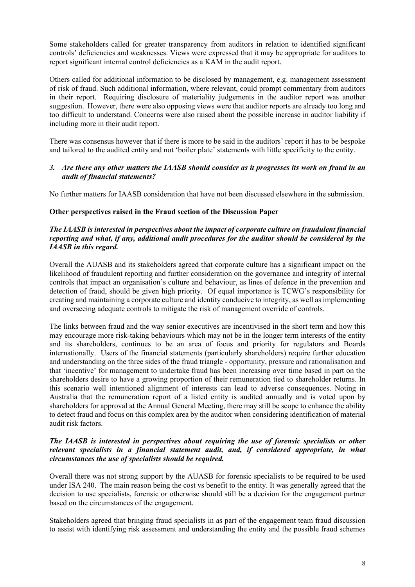Some stakeholders called for greater transparency from auditors in relation to identified significant controls' deficiencies and weaknesses. Views were expressed that it may be appropriate for auditors to report significant internal control deficiencies as a KAM in the audit report.

Others called for additional information to be disclosed by management, e.g. management assessment of risk of fraud. Such additional information, where relevant, could prompt commentary from auditors in their report. Requiring disclosure of materiality judgements in the auditor report was another suggestion. However, there were also opposing views were that auditor reports are already too long and too difficult to understand. Concerns were also raised about the possible increase in auditor liability if including more in their audit report.

There was consensus however that if there is more to be said in the auditors' report it has to be bespoke and tailored to the audited entity and not 'boiler plate' statements with little specificity to the entity.

#### *3. Are there any other matters the IAASB should consider as it progresses its work on fraud in an audit of financial statements?*

No further matters for IAASB consideration that have not been discussed elsewhere in the submission.

# **Other perspectives raised in the Fraud section of the Discussion Paper**

#### *The IAASB is interested in perspectives about the impact of corporate culture on fraudulent financial reporting and what, if any, additional audit procedures for the auditor should be considered by the IAASB in this regard.*

Overall the AUASB and its stakeholders agreed that corporate culture has a significant impact on the likelihood of fraudulent reporting and further consideration on the governance and integrity of internal controls that impact an organisation's culture and behaviour, as lines of defence in the prevention and detection of fraud, should be given high priority. Of equal importance is TCWG's responsibility for creating and maintaining a corporate culture and identity conducive to integrity, as well as implementing and overseeing adequate controls to mitigate the risk of management override of controls.

The links between fraud and the way senior executives are incentivised in the short term and how this may encourage more risk-taking behaviours which may not be in the longer term interests of the entity and its shareholders, continues to be an area of focus and priority for regulators and Boards internationally. Users of the financial statements (particularly shareholders) require further education and understanding on the three sides of the fraud triangle - opportunity, pressure and rationalisation and that 'incentive' for management to undertake fraud has been increasing over time based in part on the shareholders desire to have a growing proportion of their remuneration tied to shareholder returns. In this scenario well intentioned alignment of interests can lead to adverse consequences. Noting in Australia that the remuneration report of a listed entity is audited annually and is voted upon by shareholders for approval at the Annual General Meeting, there may still be scope to enhance the ability to detect fraud and focus on this complex area by the auditor when considering identification of material audit risk factors.

#### *The IAASB is interested in perspectives about requiring the use of forensic specialists or other relevant specialists in a financial statement audit, and, if considered appropriate, in what circumstances the use of specialists should be required.*

Overall there was not strong support by the AUASB for forensic specialists to be required to be used under ISA 240. The main reason being the cost vs benefit to the entity. It was generally agreed that the decision to use specialists, forensic or otherwise should still be a decision for the engagement partner based on the circumstances of the engagement.

Stakeholders agreed that bringing fraud specialists in as part of the engagement team fraud discussion to assist with identifying risk assessment and understanding the entity and the possible fraud schemes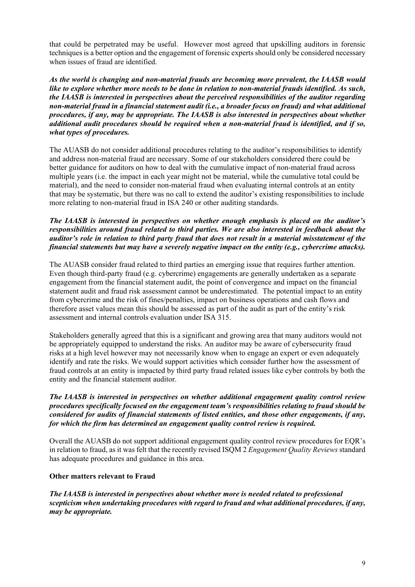that could be perpetrated may be useful. However most agreed that upskilling auditors in forensic techniques is a better option and the engagement of forensic experts should only be considered necessary when issues of fraud are identified.

*As the world is changing and non-material frauds are becoming more prevalent, the IAASB would like to explore whether more needs to be done in relation to non-material frauds identified. As such, the IAASB is interested in perspectives about the perceived responsibilities of the auditor regarding non-material fraud in a financial statement audit (i.e., a broader focus on fraud) and what additional procedures, if any, may be appropriate. The IAASB is also interested in perspectives about whether additional audit procedures should be required when a non-material fraud is identified, and if so, what types of procedures.*

The AUASB do not consider additional procedures relating to the auditor's responsibilities to identify and address non-material fraud are necessary. Some of our stakeholders considered there could be better guidance for auditors on how to deal with the cumulative impact of non-material fraud across multiple years (i.e. the impact in each year might not be material, while the cumulative total could be material), and the need to consider non-material fraud when evaluating internal controls at an entity that may be systematic, but there was no call to extend the auditor's existing responsibilities to include more relating to non-material fraud in ISA 240 or other auditing standards.

# *The IAASB is interested in perspectives on whether enough emphasis is placed on the auditor's responsibilities around fraud related to third parties. We are also interested in feedback about the auditor's role in relation to third party fraud that does not result in a material misstatement of the financial statements but may have a severely negative impact on the entity (e.g., cybercrime attacks).*

The AUASB consider fraud related to third parties an emerging issue that requires further attention. Even though third-party fraud (e.g. cybercrime) engagements are generally undertaken as a separate engagement from the financial statement audit, the point of convergence and impact on the financial statement audit and fraud risk assessment cannot be underestimated. The potential impact to an entity from cybercrime and the risk of fines/penalties, impact on business operations and cash flows and therefore asset values mean this should be assessed as part of the audit as part of the entity's risk assessment and internal controls evaluation under ISA 315.

Stakeholders generally agreed that this is a significant and growing area that many auditors would not be appropriately equipped to understand the risks. An auditor may be aware of cybersecurity fraud risks at a high level however may not necessarily know when to engage an expert or even adequately identify and rate the risks. We would support activities which consider further how the assessment of fraud controls at an entity is impacted by third party fraud related issues like cyber controls by both the entity and the financial statement auditor.

## *The IAASB is interested in perspectives on whether additional engagement quality control review procedures specifically focused on the engagement team's responsibilities relating to fraud should be considered for audits of financial statements of listed entities, and those other engagements, if any, for which the firm has determined an engagement quality control review is required.*

Overall the AUASB do not support additional engagement quality control review procedures for EQR's in relation to fraud, as it was felt that the recently revised ISQM 2 *Engagement Quality Reviews* standard has adequate procedures and guidance in this area.

# **Other matters relevant to Fraud**

*The IAASB is interested in perspectives about whether more is needed related to professional scepticism when undertaking procedures with regard to fraud and what additional procedures, if any, may be appropriate.*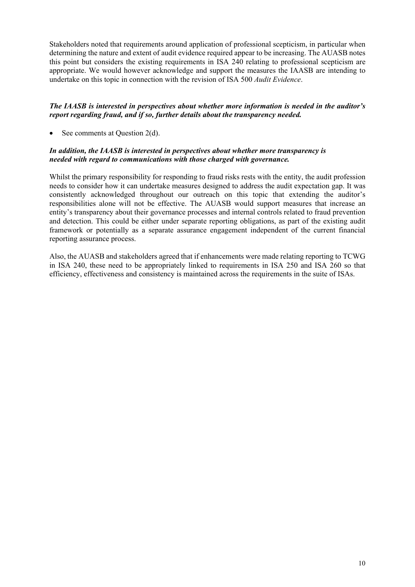Stakeholders noted that requirements around application of professional scepticism, in particular when determining the nature and extent of audit evidence required appear to be increasing. The AUASB notes this point but considers the existing requirements in ISA 240 relating to professional scepticism are appropriate. We would however acknowledge and support the measures the IAASB are intending to undertake on this topic in connection with the revision of ISA 500 *Audit Evidence*.

# *The IAASB is interested in perspectives about whether more information is needed in the auditor's report regarding fraud, and if so, further details about the transparency needed.*

See comments at Question 2(d).

## *In addition, the IAASB is interested in perspectives about whether more transparency is needed with regard to communications with those charged with governance.*

Whilst the primary responsibility for responding to fraud risks rests with the entity, the audit profession needs to consider how it can undertake measures designed to address the audit expectation gap. It was consistently acknowledged throughout our outreach on this topic that extending the auditor's responsibilities alone will not be effective. The AUASB would support measures that increase an entity's transparency about their governance processes and internal controls related to fraud prevention and detection. This could be either under separate reporting obligations, as part of the existing audit framework or potentially as a separate assurance engagement independent of the current financial reporting assurance process.

Also, the AUASB and stakeholders agreed that if enhancements were made relating reporting to TCWG in ISA 240, these need to be appropriately linked to requirements in ISA 250 and ISA 260 so that efficiency, effectiveness and consistency is maintained across the requirements in the suite of ISAs.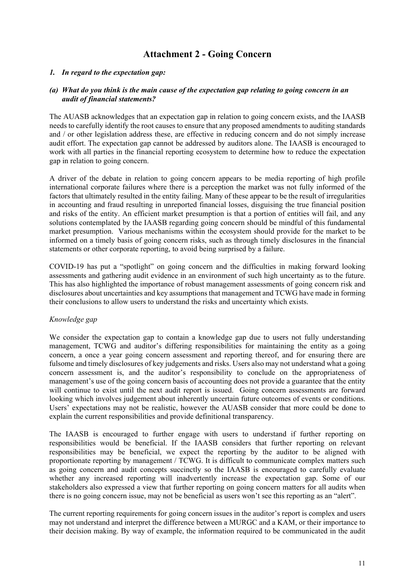# **Attachment 2 - Going Concern**

#### *1. In regard to the expectation gap:*

#### *(a) What do you think is the main cause of the expectation gap relating to going concern in an audit of financial statements?*

The AUASB acknowledges that an expectation gap in relation to going concern exists, and the IAASB needs to carefully identify the root causes to ensure that any proposed amendments to auditing standards and / or other legislation address these, are effective in reducing concern and do not simply increase audit effort. The expectation gap cannot be addressed by auditors alone. The IAASB is encouraged to work with all parties in the financial reporting ecosystem to determine how to reduce the expectation gap in relation to going concern.

A driver of the debate in relation to going concern appears to be media reporting of high profile international corporate failures where there is a perception the market was not fully informed of the factors that ultimately resulted in the entity failing. Many of these appear to be the result of irregularities in accounting and fraud resulting in unreported financial losses, disguising the true financial position and risks of the entity. An efficient market presumption is that a portion of entities will fail, and any solutions contemplated by the IAASB regarding going concern should be mindful of this fundamental market presumption. Various mechanisms within the ecosystem should provide for the market to be informed on a timely basis of going concern risks, such as through timely disclosures in the financial statements or other corporate reporting, to avoid being surprised by a failure.

COVID-19 has put a "spotlight" on going concern and the difficulties in making forward looking assessments and gathering audit evidence in an environment of such high uncertainty as to the future. This has also highlighted the importance of robust management assessments of going concern risk and disclosures about uncertainties and key assumptions that management and TCWG have made in forming their conclusions to allow users to understand the risks and uncertainty which exists.

#### *Knowledge gap*

We consider the expectation gap to contain a knowledge gap due to users not fully understanding management, TCWG and auditor's differing responsibilities for maintaining the entity as a going concern, a once a year going concern assessment and reporting thereof, and for ensuring there are fulsome and timely disclosures of key judgements and risks. Users also may not understand what a going concern assessment is, and the auditor's responsibility to conclude on the appropriateness of management's use of the going concern basis of accounting does not provide a guarantee that the entity will continue to exist until the next audit report is issued. Going concern assessments are forward looking which involves judgement about inherently uncertain future outcomes of events or conditions. Users' expectations may not be realistic, however the AUASB consider that more could be done to explain the current responsibilities and provide definitional transparency.

The IAASB is encouraged to further engage with users to understand if further reporting on responsibilities would be beneficial. If the IAASB considers that further reporting on relevant responsibilities may be beneficial, we expect the reporting by the auditor to be aligned with proportionate reporting by management / TCWG. It is difficult to communicate complex matters such as going concern and audit concepts succinctly so the IAASB is encouraged to carefully evaluate whether any increased reporting will inadvertently increase the expectation gap. Some of our stakeholders also expressed a view that further reporting on going concern matters for all audits when there is no going concern issue, may not be beneficial as users won't see this reporting as an "alert".

The current reporting requirements for going concern issues in the auditor's report is complex and users may not understand and interpret the difference between a MURGC and a KAM, or their importance to their decision making. By way of example, the information required to be communicated in the audit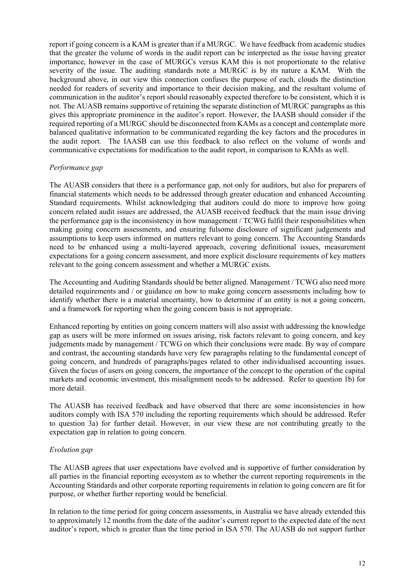report if going concern is a KAM is greater than if a MURGC. We have feedback from academic studies that the greater the volume of words in the audit report can be interpreted as the issue having greater importance, however in the case of MURGCs versus KAM this is not proportionate to the relative severity of the issue. The auditing standards note a MURGC is by its nature a KAM. With the background above, in our view this connection confuses the purpose of each, clouds the distinction needed for readers of severity and importance to their decision making, and the resultant volume of communication in the auditor's report should reasonably expected therefore to be consistent, which it is not. The AUASB remains supportive of retaining the separate distinction of MURGC paragraphs as this gives this appropriate prominence in the auditor's report. However, the IAASB should consider if the required reporting of a MURGC should be disconnected from KAMs as a concept and contemplate more balanced qualitative information to be communicated regarding the key factors and the procedures in the audit report. The IAASB can use this feedback to also reflect on the volume of words and communicative expectations for modification to the audit report, in comparison to KAMs as well.

## *Performance gap*

The AUASB considers that there is a performance gap, not only for auditors, but also for preparers of financial statements which needs to be addressed through greater education and enhanced Accounting Standard requirements. Whilst acknowledging that auditors could do more to improve how going concern related audit issues are addressed, the AUASB received feedback that the main issue driving the performance gap is the inconsistency in how management / TCWG fulfil their responsibilities when making going concern assessments, and ensuring fulsome disclosure of significant judgements and assumptions to keep users informed on matters relevant to going concern. The Accounting Standards need to be enhanced using a multi-layered approach, covering definitional issues, measurement expectations for a going concern assessment, and more explicit disclosure requirements of key matters relevant to the going concern assessment and whether a MURGC exists.

The Accounting and Auditing Standards should be better aligned. Management / TCWG also need more detailed requirements and / or guidance on how to make going concern assessments including how to identify whether there is a material uncertainty, how to determine if an entity is not a going concern, and a framework for reporting when the going concern basis is not appropriate.

Enhanced reporting by entities on going concern matters will also assist with addressing the knowledge gap as users will be more informed on issues arising, risk factors relevant to going concern, and key judgements made by management / TCWG on which their conclusions were made. By way of compare and contrast, the accounting standards have very few paragraphs relating to the fundamental concept of going concern, and hundreds of paragraphs/pages related to other individualised accounting issues. Given the focus of users on going concern, the importance of the concept to the operation of the capital markets and economic investment, this misalignment needs to be addressed. Refer to question 1b) for more detail.

The AUASB has received feedback and have observed that there are some inconsistencies in how auditors comply with ISA 570 including the reporting requirements which should be addressed. Refer to question 3a) for further detail. However, in our view these are not contributing greatly to the expectation gap in relation to going concern.

# *Evolution gap*

The AUASB agrees that user expectations have evolved and is supportive of further consideration by all parties in the financial reporting ecosystem as to whether the current reporting requirements in the Accounting Standards and other corporate reporting requirements in relation to going concern are fit for purpose, or whether further reporting would be beneficial.

In relation to the time period for going concern assessments, in Australia we have already extended this to approximately 12 months from the date of the auditor's current report to the expected date of the next auditor's report, which is greater than the time period in ISA 570. The AUASB do not support further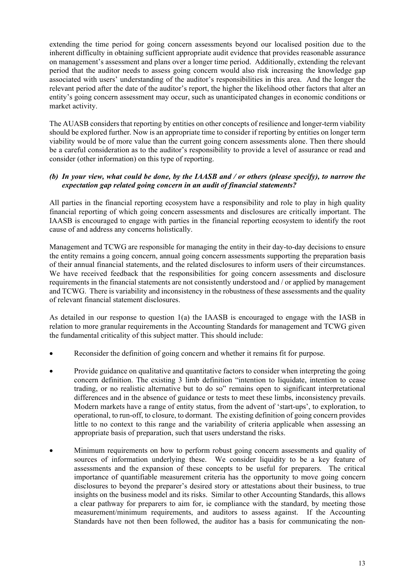extending the time period for going concern assessments beyond our localised position due to the inherent difficulty in obtaining sufficient appropriate audit evidence that provides reasonable assurance on management's assessment and plans over a longer time period. Additionally, extending the relevant period that the auditor needs to assess going concern would also risk increasing the knowledge gap associated with users' understanding of the auditor's responsibilities in this area. And the longer the relevant period after the date of the auditor's report, the higher the likelihood other factors that alter an entity's going concern assessment may occur, such as unanticipated changes in economic conditions or market activity.

The AUASB considers that reporting by entities on other concepts of resilience and longer-term viability should be explored further. Now is an appropriate time to consider if reporting by entities on longer term viability would be of more value than the current going concern assessments alone. Then there should be a careful consideration as to the auditor's responsibility to provide a level of assurance or read and consider (other information) on this type of reporting.

# *(b) In your view, what could be done, by the IAASB and / or others (please specify), to narrow the expectation gap related going concern in an audit of financial statements?*

All parties in the financial reporting ecosystem have a responsibility and role to play in high quality financial reporting of which going concern assessments and disclosures are critically important. The IAASB is encouraged to engage with parties in the financial reporting ecosystem to identify the root cause of and address any concerns holistically.

Management and TCWG are responsible for managing the entity in their day-to-day decisions to ensure the entity remains a going concern, annual going concern assessments supporting the preparation basis of their annual financial statements, and the related disclosures to inform users of their circumstances. We have received feedback that the responsibilities for going concern assessments and disclosure requirements in the financial statements are not consistently understood and / or applied by management and TCWG. There is variability and inconsistency in the robustness of these assessments and the quality of relevant financial statement disclosures.

As detailed in our response to question 1(a) the IAASB is encouraged to engage with the IASB in relation to more granular requirements in the Accounting Standards for management and TCWG given the fundamental criticality of this subject matter. This should include:

- Reconsider the definition of going concern and whether it remains fit for purpose.
- Provide guidance on qualitative and quantitative factors to consider when interpreting the going concern definition. The existing 3 limb definition "intention to liquidate, intention to cease trading, or no realistic alternative but to do so" remains open to significant interpretational differences and in the absence of guidance or tests to meet these limbs, inconsistency prevails. Modern markets have a range of entity status, from the advent of 'start-ups', to exploration, to operational, to run-off, to closure, to dormant. The existing definition of going concern provides little to no context to this range and the variability of criteria applicable when assessing an appropriate basis of preparation, such that users understand the risks.
- Minimum requirements on how to perform robust going concern assessments and quality of sources of information underlying these. We consider liquidity to be a key feature of assessments and the expansion of these concepts to be useful for preparers. The critical importance of quantifiable measurement criteria has the opportunity to move going concern disclosures to beyond the preparer's desired story or attestations about their business, to true insights on the business model and its risks. Similar to other Accounting Standards, this allows a clear pathway for preparers to aim for, ie compliance with the standard, by meeting those measurement/minimum requirements, and auditors to assess against. If the Accounting Standards have not then been followed, the auditor has a basis for communicating the non-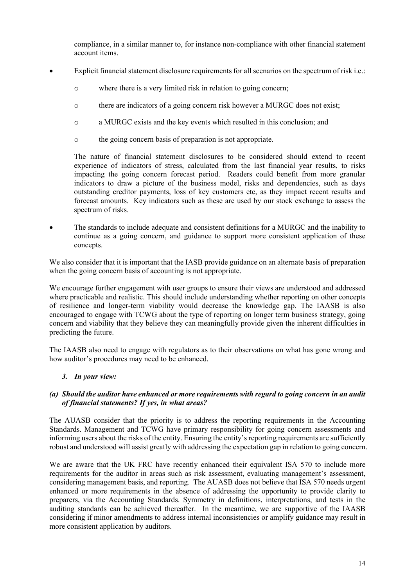compliance, in a similar manner to, for instance non-compliance with other financial statement account items.

- Explicit financial statement disclosure requirements for all scenarios on the spectrum of risk i.e.:
	- o where there is a very limited risk in relation to going concern;
	- o there are indicators of a going concern risk however a MURGC does not exist;
	- o a MURGC exists and the key events which resulted in this conclusion; and
	- o the going concern basis of preparation is not appropriate.

The nature of financial statement disclosures to be considered should extend to recent experience of indicators of stress, calculated from the last financial year results, to risks impacting the going concern forecast period. Readers could benefit from more granular indicators to draw a picture of the business model, risks and dependencies, such as days outstanding creditor payments, loss of key customers etc, as they impact recent results and forecast amounts. Key indicators such as these are used by our stock exchange to assess the spectrum of risks.

• The standards to include adequate and consistent definitions for a MURGC and the inability to continue as a going concern, and guidance to support more consistent application of these concepts.

We also consider that it is important that the IASB provide guidance on an alternate basis of preparation when the going concern basis of accounting is not appropriate.

We encourage further engagement with user groups to ensure their views are understood and addressed where practicable and realistic. This should include understanding whether reporting on other concepts of resilience and longer-term viability would decrease the knowledge gap. The IAASB is also encouraged to engage with TCWG about the type of reporting on longer term business strategy, going concern and viability that they believe they can meaningfully provide given the inherent difficulties in predicting the future.

The IAASB also need to engage with regulators as to their observations on what has gone wrong and how auditor's procedures may need to be enhanced.

#### *3. In your view:*

## *(a) Should the auditor have enhanced or more requirements with regard to going concern in an audit of financial statements? If yes, in what areas?*

The AUASB consider that the priority is to address the reporting requirements in the Accounting Standards. Management and TCWG have primary responsibility for going concern assessments and informing users about the risks of the entity. Ensuring the entity's reporting requirements are sufficiently robust and understood will assist greatly with addressing the expectation gap in relation to going concern.

We are aware that the UK FRC have recently enhanced their equivalent ISA 570 to include more requirements for the auditor in areas such as risk assessment, evaluating management's assessment, considering management basis, and reporting. The AUASB does not believe that ISA 570 needs urgent enhanced or more requirements in the absence of addressing the opportunity to provide clarity to preparers, via the Accounting Standards. Symmetry in definitions, interpretations, and tests in the auditing standards can be achieved thereafter. In the meantime, we are supportive of the IAASB considering if minor amendments to address internal inconsistencies or amplify guidance may result in more consistent application by auditors.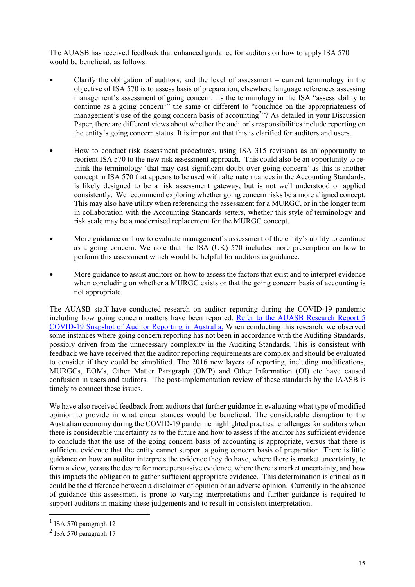The AUASB has received feedback that enhanced guidance for auditors on how to apply ISA 570 would be beneficial, as follows:

- Clarify the obligation of auditors, and the level of assessment  $-$  current terminology in the objective of ISA 570 is to assess basis of preparation, elsewhere language references assessing management's assessment of going concern. Is the terminology in the ISA "assess ability to continue as a going concern<sup>[1](#page-14-0)</sup>" the same or different to "conclude on the appropriateness of management's use of the going concern basis of accounting<sup>[2](#page-14-1)</sup><sup>22</sup>? As detailed in your Discussion Paper, there are different views about whether the auditor's responsibilities include reporting on the entity's going concern status. It is important that this is clarified for auditors and users.
- How to conduct risk assessment procedures, using ISA 315 revisions as an opportunity to reorient ISA 570 to the new risk assessment approach. This could also be an opportunity to rethink the terminology 'that may cast significant doubt over going concern' as this is another concept in ISA 570 that appears to be used with alternate nuances in the Accounting Standards, is likely designed to be a risk assessment gateway, but is not well understood or applied consistently. We recommend exploring whether going concern risks be a more aligned concept. This may also have utility when referencing the assessment for a MURGC, or in the longer term in collaboration with the Accounting Standards setters, whether this style of terminology and risk scale may be a modernised replacement for the MURGC concept.
- More guidance on how to evaluate management's assessment of the entity's ability to continue as a going concern. We note that the ISA (UK) 570 includes more prescription on how to perform this assessment which would be helpful for auditors as guidance.
- More guidance to assist auditors on how to assess the factors that exist and to interpret evidence when concluding on whether a MURGC exists or that the going concern basis of accounting is not appropriate.

The AUASB staff have conducted research on auditor reporting during the COVID-19 pandemic including how going concern matters have been reported. [Refer to the AUASB Research Report 5](https://www.auasb.gov.au/admin/file/content102/c3/AUASB_ResearchReport5_Dec20.pdf)  [COVID-19 Snapshot of Auditor Reporting in Australia.](https://www.auasb.gov.au/admin/file/content102/c3/AUASB_ResearchReport5_Dec20.pdf) When conducting this research, we observed some instances where going concern reporting has not been in accordance with the Auditing Standards, possibly driven from the unnecessary complexity in the Auditing Standards. This is consistent with feedback we have received that the auditor reporting requirements are complex and should be evaluated to consider if they could be simplified. The 2016 new layers of reporting, including modifications, MURGCs, EOMs, Other Matter Paragraph (OMP) and Other Information (OI) etc have caused confusion in users and auditors. The post-implementation review of these standards by the IAASB is timely to connect these issues.

We have also received feedback from auditors that further guidance in evaluating what type of modified opinion to provide in what circumstances would be beneficial. The considerable disruption to the Australian economy during the COVID-19 pandemic highlighted practical challenges for auditors when there is considerable uncertainty as to the future and how to assess if the auditor has sufficient evidence to conclude that the use of the going concern basis of accounting is appropriate, versus that there is sufficient evidence that the entity cannot support a going concern basis of preparation. There is little guidance on how an auditor interprets the evidence they do have, where there is market uncertainty, to form a view, versus the desire for more persuasive evidence, where there is market uncertainty, and how this impacts the obligation to gather sufficient appropriate evidence. This determination is critical as it could be the difference between a disclaimer of opinion or an adverse opinion. Currently in the absence of guidance this assessment is prone to varying interpretations and further guidance is required to support auditors in making these judgements and to result in consistent interpretation.

<span id="page-14-0"></span> $1$  ISA 570 paragraph 12

<span id="page-14-1"></span><sup>2</sup> ISA 570 paragraph 17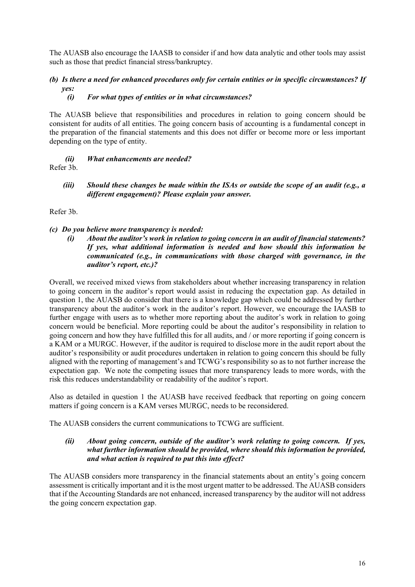The AUASB also encourage the IAASB to consider if and how data analytic and other tools may assist such as those that predict financial stress/bankruptcy.

# *(b) Is there a need for enhanced procedures only for certain entities or in specific circumstances? If yes:*

## *(i) For what types of entities or in what circumstances?*

The AUASB believe that responsibilities and procedures in relation to going concern should be consistent for audits of all entities. The going concern basis of accounting is a fundamental concept in the preparation of the financial statements and this does not differ or become more or less important depending on the type of entity.

- *(ii) What enhancements are needed?* Refer 3b.
	- *(iii) Should these changes be made within the ISAs or outside the scope of an audit (e.g., a different engagement)? Please explain your answer.*

Refer 3b.

## *(c) Do you believe more transparency is needed:*

*(i) About the auditor's work in relation to going concern in an audit of financial statements? If yes, what additional information is needed and how should this information be communicated (e.g., in communications with those charged with governance, in the auditor's report, etc.)?*

Overall, we received mixed views from stakeholders about whether increasing transparency in relation to going concern in the auditor's report would assist in reducing the expectation gap. As detailed in question 1, the AUASB do consider that there is a knowledge gap which could be addressed by further transparency about the auditor's work in the auditor's report. However, we encourage the IAASB to further engage with users as to whether more reporting about the auditor's work in relation to going concern would be beneficial. More reporting could be about the auditor's responsibility in relation to going concern and how they have fulfilled this for all audits, and / or more reporting if going concern is a KAM or a MURGC. However, if the auditor is required to disclose more in the audit report about the auditor's responsibility or audit procedures undertaken in relation to going concern this should be fully aligned with the reporting of management's and TCWG's responsibility so as to not further increase the expectation gap. We note the competing issues that more transparency leads to more words, with the risk this reduces understandability or readability of the auditor's report.

Also as detailed in question 1 the AUASB have received feedback that reporting on going concern matters if going concern is a KAM verses MURGC, needs to be reconsidered.

The AUASB considers the current communications to TCWG are sufficient.

#### *(ii) About going concern, outside of the auditor's work relating to going concern. If yes, what further information should be provided, where should this information be provided, and what action is required to put this into effect?*

The AUASB considers more transparency in the financial statements about an entity's going concern assessment is critically important and it is the most urgent matter to be addressed. The AUASB considers that if the Accounting Standards are not enhanced, increased transparency by the auditor will not address the going concern expectation gap.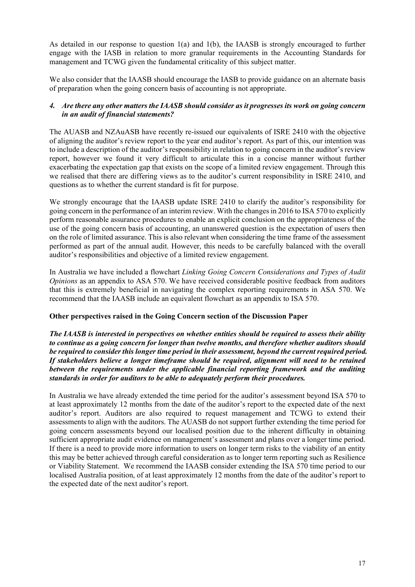As detailed in our response to question 1(a) and 1(b), the IAASB is strongly encouraged to further engage with the IASB in relation to more granular requirements in the Accounting Standards for management and TCWG given the fundamental criticality of this subject matter.

We also consider that the IAASB should encourage the IASB to provide guidance on an alternate basis of preparation when the going concern basis of accounting is not appropriate.

# *4. Are there any other matters the IAASB should consider as it progresses its work on going concern in an audit of financial statements?*

The AUASB and NZAuASB have recently re-issued our equivalents of ISRE 2410 with the objective of aligning the auditor's review report to the year end auditor's report. As part of this, our intention was to include a description of the auditor's responsibility in relation to going concern in the auditor's review report, however we found it very difficult to articulate this in a concise manner without further exacerbating the expectation gap that exists on the scope of a limited review engagement. Through this we realised that there are differing views as to the auditor's current responsibility in ISRE 2410, and questions as to whether the current standard is fit for purpose.

We strongly encourage that the IAASB update ISRE 2410 to clarify the auditor's responsibility for going concern in the performance of an interim review. With the changes in 2016 to ISA 570 to explicitly perform reasonable assurance procedures to enable an explicit conclusion on the appropriateness of the use of the going concern basis of accounting, an unanswered question is the expectation of users then on the role of limited assurance. This is also relevant when considering the time frame of the assessment performed as part of the annual audit. However, this needs to be carefully balanced with the overall auditor's responsibilities and objective of a limited review engagement.

In Australia we have included a flowchart *Linking Going Concern Considerations and Types of Audit Opinions* as an appendix to ASA 570. We have received considerable positive feedback from auditors that this is extremely beneficial in navigating the complex reporting requirements in ASA 570. We recommend that the IAASB include an equivalent flowchart as an appendix to ISA 570.

#### **Other perspectives raised in the Going Concern section of the Discussion Paper**

*The IAASB is interested in perspectives on whether entities should be required to assess their ability to continue as a going concern for longer than twelve months, and therefore whether auditors should be required to consider this longer time period in their assessment, beyond the current required period. If stakeholders believe a longer timeframe should be required, alignment will need to be retained between the requirements under the applicable financial reporting framework and the auditing standards in order for auditors to be able to adequately perform their procedures.*

In Australia we have already extended the time period for the auditor's assessment beyond ISA 570 to at least approximately 12 months from the date of the auditor's report to the expected date of the next auditor's report. Auditors are also required to request management and TCWG to extend their assessments to align with the auditors. The AUASB do not support further extending the time period for going concern assessments beyond our localised position due to the inherent difficulty in obtaining sufficient appropriate audit evidence on management's assessment and plans over a longer time period. If there is a need to provide more information to users on longer term risks to the viability of an entity this may be better achieved through careful consideration as to longer term reporting such as Resilience or Viability Statement. We recommend the IAASB consider extending the ISA 570 time period to our localised Australia position, of at least approximately 12 months from the date of the auditor's report to the expected date of the next auditor's report.